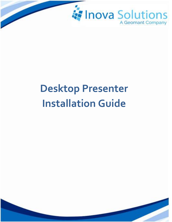

# **Desktop Presenter Installation Guide**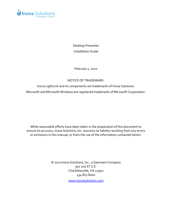

Desktop Presenter Installation Guide

February 1, 2022

#### NOTICE OF TRADEMARK:

Inova LightLink and its components are trademarks of Inova Solutions. Microsoft and Microsoft Windows are registered trademarks of Microsoft Corporation.

While reasonable efforts have been taken in the preparation of this document to ensure its accuracy, Inova Solutions, Inc. assumes no liability resulting from any errors or omissions in this manual, or from the use of the information contained herein.

> © 2022Inova Solutions, Inc., a Geomant Company 971 2nd ST S.E. Charlottesville, VA 22902 434.817.8000

> > [www.inovasolutions.com](http://www.inovasolutions.com/)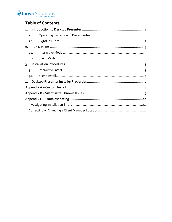# Inova Solutions

# **Table of Contents**

|  | 1.1. |  |  |
|--|------|--|--|
|  | 1.2. |  |  |
|  |      |  |  |
|  | 2.1. |  |  |
|  | 2.2. |  |  |
|  |      |  |  |
|  | 3.1. |  |  |
|  | 3.2. |  |  |
|  |      |  |  |
|  |      |  |  |
|  |      |  |  |
|  |      |  |  |
|  |      |  |  |
|  |      |  |  |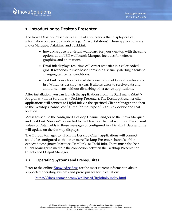## <span id="page-3-0"></span>**1. Introduction to Desktop Presenter**

The Inova Desktop Presenter is a suite of applications that display critical information on desktop displays (e.g., PC workstations). These applications are Inova Marquee, DataLink, and TaskLink:

- Inova Marquee is a virtual wallboard for your desktop with the same options as an LED wallboard; Marquee includes font effects, graphics, and animations.
- DataLink displays real-time call center statistics in a color-coded grid. It responds to user-based thresholds, visually alerting agents to changing call center conditions.
- TaskLink provides a ticker-style presentation of key call center stats in a Windows desktop taskbar. It allows users to receive data and announcements without disturbing other active applications.

After installation, you can launch the applications from the Start menu (Start > Programs > Inova Solutions > Desktop Presenter). The Desktop Presenter client applications will connect to LightLink via the specified Client Manager and then to the Desktop Channel configured for that type of LightLink device and that location.

Messages sent to the configured Desktop Channel and/or to the Inova Marquee and TaskLink "devices" connected to the Desktop Channel will play. The current values of Data Fields in those messages or configured in a DataLink data grid file will update on the desktop displays.

The Output Manager to which the Desktop Client applications will connect should be configured with one or more Desktop Presenter channels of the expected type (Inova Marquee, DataLink, or TaskLink). There must also be a Client Manager to mediate the connection between the Desktop Presentation Clients and Output Manager.

#### <span id="page-3-1"></span>**1.1. Operating Systems and Prerequisites**

Refer to the online [Knowledge Base](https://docs.geomant.com/wallboard/lightlink/index.html) for the most current information about supported operating systems and prerequisites for installation:

<https://docs.geomant.com/wallboard/lightlink/index.html>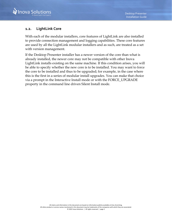### <span id="page-4-0"></span>**1.2. LightLink Core**

With each of the modular installers, core features of LightLink are also installed to provide connection management and logging capabilities. These core features are used by all the LightLink modular installers and as such, are treated as a set with version management.

If the Desktop Presenter installer has a newer version of the core than what is already installed, the newer core may not be compatible with other Inova LightLink installs existing on the same machine. If this condition arises, you will be able to specify whether the new core is to be installed. You may want to force the core to be installed and thus to be upgraded; for example, in the case where this is the first in a series of modular install upgrades. You can make that choice via a prompt in the Interactive Install mode or with the FORCE\_UPGRADE property in the command line driven Silent Install mode.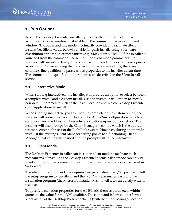

# <span id="page-5-0"></span>**2. Run Options**

To run the Desktop Presenter installer, you can either double click it in a Windows Explorer window or start it from the command line in a command window. The command line mode is primarily provided to facilitate silent installs (see Silent Mode, below) suitable for push installs using a software distribution application or mechanism (e.g., SMS, Altiris, Tivoli). If the installer is launched from the command line without the silent mode parameters, the installer will run interactively; this is not a recommended mode but is recognized as an option. When running the installer from the command line, there are command line qualifiers to pass various properties to the installer at run-time. The command line qualifiers and properties are described in the Silent Install section.

#### <span id="page-5-1"></span>**2.1. Interactive Mode**

When running interactively the installer will provide an option to select between a complete install and a custom install. Use the custom install option to specify non-default parameters such as the install location and which Desktop Presenter client applications to install.

When running interactively with either the complete or the custom option, the installer will present a checkbox to allow for Auto-Run configuration, which will start up all installed Desktop Presenter applications upon login or reboot. The installer will also prompt for the Client Manager location, which is the address for connecting to the rest of the LightLink system. However, during an upgrade install, if the existing Client Manager setting points to a functioning Client Manager, that value will be used and the prompt will not be displayed.

#### <span id="page-5-2"></span>**2.2. Silent Mode**

The Desktop Presenter installer can be run in silent mode to facilitate push mechanisms of installing the Desktop Presenter clients. Silent mode can only be invoked through the command line and it requires prerequisites as discussed in Section [1.1.](#page-3-1)

The silent mode command line requires two parameters: the "/S" qualifier to tell the setup program to run silent, and the "/qn" as a parameter passed to the installation program (the Microsoft Installer, MSI) to tell it to run quietly with no feedback.

To specify installation properties for the MSI, add them as parameters within quotes as the value for the "/ $v$ " qualifier. The command below will perform a silent install of the Desktop Presenter clients (with the Client Manager location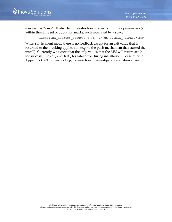specified as "vm5"). It also demonstrates how to specify multiple parameters (all within the same set of quotation marks, each separated by a space):

lightlink desktop setup.exe /S /v"/qn CLIMGR ADDRESS=vm5"

When run in silent mode there is no feedback except for an exit value that is returned to the invoking application (e.g. to the push mechanism that started the install). Currently we expect that the only values that the MSI will return are 0, for successful install, and 1603, for fatal error during installation. Please refer to Appendix C - Troubleshooting, to learn how to investigate installation errors.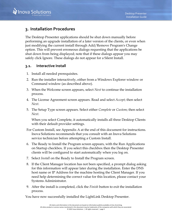# <span id="page-7-0"></span>**3. Installation Procedures**

The Desktop Presenter applications should be shut down manually before performing an upgrade installation of a later version of the clients, or even when just modifying the current install through Add/Remove Program's Change option. This will prevent erroneous dialogs requesting that the applications be shut down from being displayed; note that if these dialogs appear you may safely click Ignore. These dialogs do not appear for a Silent Install.

#### <span id="page-7-1"></span>**3.1. Interactive Install**

- 1. Install all needed prerequisites.
- 2. Run the installer interactively, either from a Windows Explorer window or Command window (as described above).
- 3. When the Welcome screen appears, select *Next* to continue the installation process.
- 4. The License Agreement screen appears. Read and select *Accept*; then select *Next*.
- 5. The Setup Type screen appears. Select either *Complete* or *Custom*; then select *Next*.

When you select Complete, it automatically installs all three Desktop Clients with their default provider settings.

- For Custom Install, see Appendix A at the end of this document for instructions. Inova Solutions recommends that you consult with an Inova Solutions service technician before attempting a Custom Install.
- 6. The Ready to Install the Program screen appears, with the Run Applications on Startup checkbox. If you select this checkbox then the Desktop Presenter clients will be configured to start automatically when you log on.
- 7. Select *Install* on the Ready to Install the Program screen.
- 8. If the Client Manager location has not been specified, a prompt dialog asking for this information will appear later during the installation. Enter the DNS host name or IP Address for the machine hosting the Client Manager. If you need help determining the correct value for this location, please contact your Systems Administrator.
- 9. After the install is completed, click the *Finish* button to exit the installation process.

You have now successfully installed the LightLink Desktop Presenter.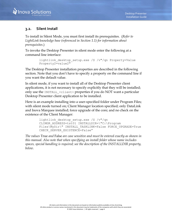#### <span id="page-8-0"></span>**3.2. Silent Install**

To install in Silent Mode, you must first install its prerequisites. (*Refer to LightLink knowledge base (referenced in Section [1.1\)](#page-3-1) for information about prerequisites*.)

To invoke the Desktop Presenter in silent mode enter the following at a command line interface:

```
lightlink_desktop_setup.exe /S /v"/qn Property=Value 
Property2=value2"
```
The Desktop Presenter installation properties are described in the following section. Note that you don't have to specify a property on the command line if you want the default value.

In silent mode, if you want to install all of the Desktop Presenter client applications, it is not necessary to specify explicitly that they will be installed; only use the INSTALL\_<client> properties if you do NOT want a particular Desktop Presenter client application to be installed.

Here is an example installing into a user-specified folder under Program Files; with silent mode turned on; Client Manager location specified; only DataLink and Inova Marquee installed; force upgrade of the core; and no check on the existence of the Client Manager:

```
lightlink desktop setup.exe /S /v"/qn
CLIMGR_ADDRESS=tst01 INSTALLDIR=\"C:\Program 
Files\MyDir\" INSTALL TASKLINK=False FORCE UPGRADE=True
CHECK_SERVER_EXISTENCE=False"
```
*The values* True *and* False *are case sensitive and must be entered exactly as shown in this manual. Also note that when specifying an install folder whose name includes spaces, special handling is required; see the description of the INSTALLDIR property, below.*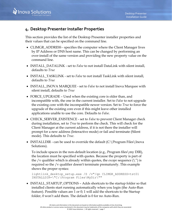# <span id="page-9-0"></span>**4. Desktop Presenter Installer Properties**

This section provides the list of the Desktop Presenter installer properties and their values that can be specified on the command line.

- CLIMGR\_ADDRESS specifies the computer where the Client Manager lives by IP Address or DNS host name. This can be changed by performing an over-install of the same version and providing the new property value on the command line.
- INSTALL\_DATALINK set to *False* to not install DataLink with silent install, defaults to *True*
- INSTALL\_TASKLINK set to *False* to not install TaskLink with silent install, defaults to *True*
- INSTALL\_INOVA MARQUEE set to *False* to not install Inova Marquee with silent install, defaults to *True*
- FORCE\_UPGRADE Used when the existing core is older than, and incompatible with, the one in the current installer. Set to *False* to not upgrade the existing core with the incompatible newer version. Set to *True* to force the upgrade of the existing core even if this might leave other installed applications unable to use the core. Defaults to *False*.
- CHECK\_SERVER\_EXISTENCE set to *False* to prevent Client Manager check during installation, set to *True* to perform the check. This will check for the Client Manager at the current address, if it is not there the installer will prompt for a new address (Interactive mode) or fail and terminate (Silent mode). This defaults to *True*.
- INSTALLDIR can be used to override the default  $(C:\Pre{Pr}\$  Files Inova Solutions).

To include spaces in the non-default location (e.g., Program files\my DIR), the location must be specified with quotes. Because the property is part of the /v qualifier which is already within quotes, the *escape* sequence  $(\nabla')$  is required so the /v qualifier doesn't terminate prematurely. This example shows the proper syntax:

```
lightlink desktop setup.exe /S /v"/qn CLIMGR ADDRESS=tst01
INSTALLDIR=\"C:\Program Files\MyDir\""
```
• INSTALL\_STARTUP\_OPTIONS – Adds shortcuts to the startup folder so that installed clients start running automatically when you login (the Auto-Run feature). Possible values are 1 or 0; 1 will add the shortcuts to the Startup folder, 0 won't add them. The default is 0 for no Auto-Run.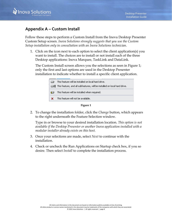

# <span id="page-10-0"></span>**Appendix A – Custom Install**

Follow these steps to perform a Custom Install from the Inova Desktop Presenter Custom Setup screen. *Inova Solutions strongly suggests that you use the Custom Setup installation only in consultation with an Inova Solutions technician*.

1. Click on the icon next to each option to select the client application(s) you want to install. The choices are to install or not install each of the three Desktop applications: Inova Marquee, TaskLink and DataLink.

The Custom Install screen allows you the selections as seen in [Figure 1;](#page-10-1) only the first and last options are used in the Desktop Presenter installation to indicate whether to install a specific client application.



**Figure 1**

<span id="page-10-1"></span>2. To change the installation folder, click the *Change* button, which appears to the right underneath the Feature Selection window.

Type in or browse to your desired installation location. *This option is not available if the Desktop Presenter or another Inova application installed with a modular installer already exists on this host.* 

- 3. Once your selections are made, select *Next* to continue with the installation.
- 4. Check or uncheck the Run Applications on Startup check box, if you so desire. Then select *Install* to complete the installation process.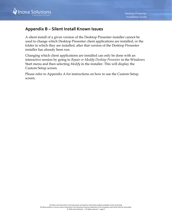

# <span id="page-11-0"></span>**Appendix B – Silent Install Known Issues**

A silent install of a given version of the Desktop Presenter installer cannot be used to change which Desktop Presenter client applications are installed, or the folder in which they are installed, after that version of the Desktop Presenter installer has already been run.

Changing which client applications are installed can only be done with an interactive session by going to *Repair or Modify Desktop Presenter* in the Windows Start menu and then selecting *Modify* in the installer. This will display the Custom Setup screen.

Please refer to Appendix A for instructions on how to use the Custom Setup screen.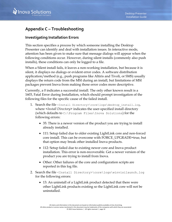

# <span id="page-12-0"></span>**Appendix C – Troubleshooting**

#### <span id="page-12-1"></span>**Investigating Installation Errors**

This section specifies a process by which someone installing the Desktop Presenter can identify and deal with installation issues. In interactive mode, attention has been given to make sure that message dialogs will appear when the following conditions occur. However, during silent installs (commonly also push installs), these conditions can only be logged to a file.

When a Silent install fails, it leaves a non-working installation, but because it is silent, it displays no dialogs or evident error codes. A software distribution application/method (e.g., push programs like Altiris and Tivoli, or SMS) usually displays the return code from the MSI during an install, but limitations of MSI packages prevent Inova from making those error codes more descriptive.

Currently, a 0 indicates a successful install. The only other known result is a 1603, Fatal Error during Installation, which should prompt investigation of the following files for the specific cause of the failed install.

- 1. Search the file <Install Directory>\core\logs\desktop\_install.log, where <*Install Directory>* indicates the user-specified install directory (which defaults to C:\Program Files\Inova Solutions) for the following errors:
	- 35: There is a newer version of the product you are trying to install already installed.
	- 111: Setup failed due to older existing LightLink core and non-forced core install. This can be overcome with FORCE\_UPGRADE=true, but that option may break other installed Inova products.
	- 112: Setup failed due to existing newer core and Inova product installation. This error is non-recoverable. Get a newer version of the product you are trying to install from Inova.
	- Other: Other failures of the core and configuration scripts are reported in this log file.
- 2. Search the file <Install Directory>\core\logs\winvisilaunch.log for the following errors:
	- 13: An uninstall of a LightLink product detected that there were other LightLink products existing so the LightLink core will not be uninstalled.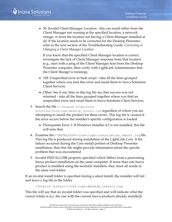• 30: Invalid Client Manager Location - this can result either from the Client Manager not running at the specified location, a network outage, or from the location not having a Client Manager installed at all. If the location needs to be corrected for the Desktop Presenter, refer to the next section of the Troubleshooting Guide*, Correcting or Changing a Client Manager Location*.

If you know that the specified Client Manager location is correct, investigate the lack of Client Manager response from that location (e.g., start with a ping of the Client Manager host from the Desktop Presenter computer, then verify with LightLink Administrator that the Client Manger is running).

- 128: Unspecified error in bash script take all the lines grouped together where you find this error and email them to Inova Solutions Client Services.
- Other: See if any lines in this log file say that success was not returned - take all the lines grouped together where you find an unspecified error and email them to Inova Solutions Client Services.
- 3. Search the file  $C:\Per{$  Files\Inova

Solutions\core\logs\desktop\_install.log regardless of where you are attempting to install the product for these errors. This log file is created if the error occurs before the installer's specific configuration is loaded.

- Prerequisite Error 1: If Windows Installer 4.5 is not installed, this file will note that.
- 4. Examine the <INSTALLDIR>\core\logs\installation\_report.log file. This log file is produced during installation of the LightLink Core. If the failure occurred during the Core install portion of Desktop Presenter installation, then this file might provide information about the specific problem that was encountered.
- 5. Invalid INSTALLDIR property specified which differs from a preexisting Inova product installation on the same computer. If more than one Inova product is installed using the modular installers, they must all reside in the same root folder.

If an invalid install folder is specified during a silent install, the installer will fail and leave a log file in the folder

```
<Invalid Install>\core\logs\desktop_install.log.
```
This file will say that an invalid folder was specified and will indicate what the correct folder is (i.e. the one with the current Inova products already installed).